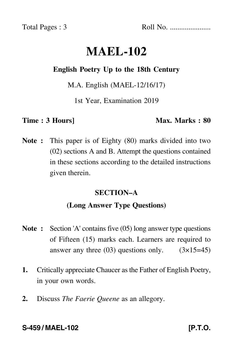Total Pages : 3 Roll No. ......................

# **MAEL-102**

### **English Poetry Up to the 18th Century**

M.A. English (MAEL-12/16/17)

1st Year, Examination 2019

#### **Time : 3 Hours]** Max. Marks : 80

**Note :** This paper is of Eighty (80) marks divided into two (02) sections A and B. Attempt the questions contained in these sections according to the detailed instructions given therein.

### **SECTION–A**

## **(Long Answer Type Questions)**

- **Note :** Section 'A' contains five (05) long answer type questions of Fifteen (15) marks each. Learners are required to answer any three  $(03)$  questions only.  $(3\times15=45)$
- **1.** Critically appreciate Chaucer as the Father of English Poetry, in your own words.
- **2.** Discuss *The Faerie Queene* as an allegory.

### **S-459 / MAEL-102** [P.T.O.]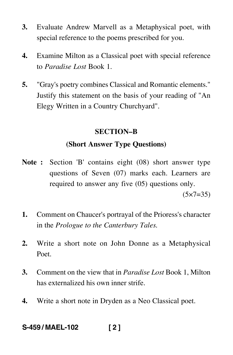- **3.** Evaluate Andrew Marvell as a Metaphysical poet, with special reference to the poems prescribed for you.
- **4.** Examine Milton as a Classical poet with special reference to *Paradise Lost* Book 1.
- **5.** "Gray's poetry combines Classical and Romantic elements." Justify this statement on the basis of your reading of "An Elegy Written in a Country Churchyard".

#### **SECTION–B**

### **(Short Answer Type Questions)**

- **Note :** Section 'B' contains eight (08) short answer type questions of Seven (07) marks each. Learners are required to answer any five (05) questions only.  $(5 \times 7 = 35)$
- **1.** Comment on Chaucer's portrayal of the Prioress's character in the *Prologue to the Canterbury Tales.*
- **2.** Write a short note on John Donne as a Metaphysical Poet.
- **3.** Comment on the view that in *Paradise Lost* Book 1, Milton has externalized his own inner strife.
- **4.** Write a short note in Dryden as a Neo Classical poet.

# **S-459 / MAEL-102 [ 2 ]**